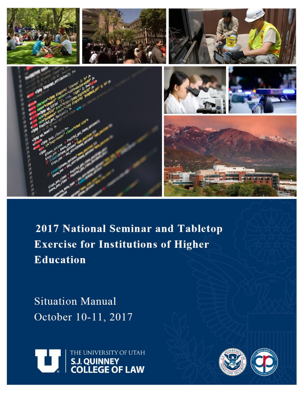

2017 National Seminar and Tabletop **Exercise for Institutions of Higher Education** 

**Situation Manual** October 10-11, 2017





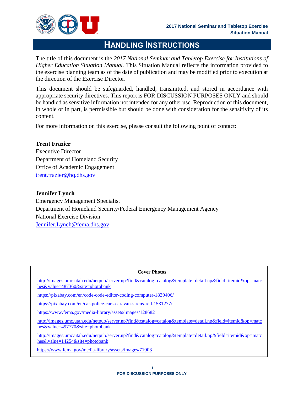

# **HANDLING INSTRUCTIONS**

The title of this document is the *2017 National Seminar and Tabletop Exercise for Institutions of Higher Education Situation Manual.* This Situation Manual reflects the information provided to the exercise planning team as of the date of publication and may be modified prior to execution at the direction of the Exercise Director.

This document should be safeguarded, handled, transmitted, and stored in accordance with appropriate security directives. This report is FOR DISCUSSION PURPOSES ONLY and should be handled as sensitive information not intended for any other use. Reproduction of this document, in whole or in part, is permissible but should be done with consideration for the sensitivity of its content.

For more information on this exercise, please consult the following point of contact:

#### **Trent Frazier**

Executive Director Department of Homeland Security Office of Academic Engagement [trent.frazier@hq.dhs.gov](mailto:trent.frazier@hq.dhs.gov)

#### **Jennifer Lynch**

Emergency Management Specialist Department of Homeland Security/Federal Emergency Management Agency National Exercise Division [Jennifer.Lynch@fema.dhs.gov](mailto:Jennifer.Lynch@fema.dhs.gov)

#### **Cover Photos**

[http://images.umc.utah.edu/netpub/server.np?find&catalog=catalog&template=detail.np&field=itemid&op=matc](http://images.umc.utah.edu/netpub/server.np?find&catalog=catalog&template=detail.np&field=itemid&op=matches&value=487360&site=photobank) [hes&value=487360&site=photobank](http://images.umc.utah.edu/netpub/server.np?find&catalog=catalog&template=detail.np&field=itemid&op=matches&value=487360&site=photobank)

<https://pixabay.com/en/code-code-editor-coding-computer-1839406/>

<https://pixabay.com/en/car-police-cars-caravan-sirens-red-1531277/>

<https://www.fema.gov/media-library/assets/images/128682>

[http://images.umc.utah.edu/netpub/server.np?find&catalog=catalog&template=detail.np&field=itemid&op=matc](http://images.umc.utah.edu/netpub/server.np?find&catalog=catalog&template=detail.np&field=itemid&op=matches&value=497770&site=photobank) [hes&value=497770&site=photobank](http://images.umc.utah.edu/netpub/server.np?find&catalog=catalog&template=detail.np&field=itemid&op=matches&value=497770&site=photobank)

[http://images.umc.utah.edu/netpub/server.np?find&catalog=catalog&template=detail.np&field=itemid&op=matc](http://images.umc.utah.edu/netpub/server.np?find&catalog=catalog&template=detail.np&field=itemid&op=matches&value=14254&site=photobank) [hes&value=14254&site=photobank](http://images.umc.utah.edu/netpub/server.np?find&catalog=catalog&template=detail.np&field=itemid&op=matches&value=14254&site=photobank)

<https://www.fema.gov/media-library/assets/images/71003>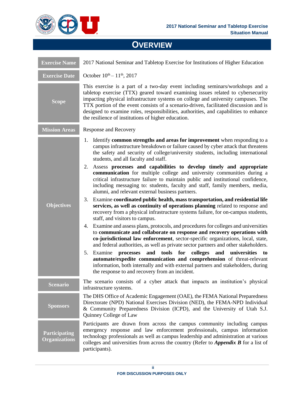

# **OVERVIEW**

| <b>Exercise Name</b>                         | 2017 National Seminar and Tabletop Exercise for Institutions of Higher Education                                                                                                                                                                                                                                                                                                                                                                                                                                                                                                                                                                                                                                                                                                                                                                                                                                                                                                                                                                                                                                                                                                                                                                                                                                                                                                                                                                                           |  |
|----------------------------------------------|----------------------------------------------------------------------------------------------------------------------------------------------------------------------------------------------------------------------------------------------------------------------------------------------------------------------------------------------------------------------------------------------------------------------------------------------------------------------------------------------------------------------------------------------------------------------------------------------------------------------------------------------------------------------------------------------------------------------------------------------------------------------------------------------------------------------------------------------------------------------------------------------------------------------------------------------------------------------------------------------------------------------------------------------------------------------------------------------------------------------------------------------------------------------------------------------------------------------------------------------------------------------------------------------------------------------------------------------------------------------------------------------------------------------------------------------------------------------------|--|
| <b>Exercise Date</b>                         | October $10^{th} - 11^{th}$ , 2017                                                                                                                                                                                                                                                                                                                                                                                                                                                                                                                                                                                                                                                                                                                                                                                                                                                                                                                                                                                                                                                                                                                                                                                                                                                                                                                                                                                                                                         |  |
| <b>Scope</b>                                 | This exercise is a part of a two-day event including seminars/workshops and a<br>tabletop exercise (TTX) geared toward examining issues related to cybersecurity<br>impacting physical infrastructure systems on college and university campuses. The<br>TTX portion of the event consists of a scenario-driven, facilitated discussion and is<br>designed to examine roles, responsibilities, authorities, and capabilities to enhance<br>the resilience of institutions of higher education.                                                                                                                                                                                                                                                                                                                                                                                                                                                                                                                                                                                                                                                                                                                                                                                                                                                                                                                                                                             |  |
| <b>Mission Areas</b>                         | Response and Recovery                                                                                                                                                                                                                                                                                                                                                                                                                                                                                                                                                                                                                                                                                                                                                                                                                                                                                                                                                                                                                                                                                                                                                                                                                                                                                                                                                                                                                                                      |  |
| <b>Objectives</b>                            | 1. Identify common strengths and areas for improvement when responding to a<br>campus infrastructure breakdown or failure caused by cyber attack that threatens<br>the safety and security of college/university students, including international<br>students, and all faculty and staff.<br>Assess processes and capabilities to develop timely and appropriate<br>2.<br>communication for multiple college and university communities during a<br>critical infrastructure failure to maintain public and institutional confidence,<br>including messaging to: students, faculty and staff, family members, media,<br>alumni, and relevant external business partners.<br>3. Examine coordinated public health, mass transportation, and residential life<br>services, as well as continuity of operations planning related to response and<br>recovery from a physical infrastructure systems failure, for on-campus students,<br>staff, and visitors to campus.<br>Examine and assess plans, protocols, and procedures for colleges and universities<br>4.<br>to communicate and collaborate on response and recovery operations with<br>co-jurisdictional law enforcement, sector-specific organizations, local, state,<br>and federal authorities, as well as private sector partners and other stakeholders.<br>and tools for<br>colleges and universities<br>5. Examine<br>processes<br>to<br>automate/expedite communication and comprehension of threat-relevant |  |
|                                              | information, both internally and with external partners and stakeholders, during<br>the response to and recovery from an incident.                                                                                                                                                                                                                                                                                                                                                                                                                                                                                                                                                                                                                                                                                                                                                                                                                                                                                                                                                                                                                                                                                                                                                                                                                                                                                                                                         |  |
| <b>Scenario</b>                              | The scenario consists of a cyber attack that impacts an institution's physical<br>infrastructure systems.                                                                                                                                                                                                                                                                                                                                                                                                                                                                                                                                                                                                                                                                                                                                                                                                                                                                                                                                                                                                                                                                                                                                                                                                                                                                                                                                                                  |  |
| <b>Sponsors</b>                              | The DHS Office of Academic Engagement (OAE), the FEMA National Preparedness<br>Directorate (NPD) National Exercises Division (NED), the FEMA-NPD Individual<br>& Community Preparedness Division (ICPD), and the University of Utah S.J.<br>Quinney College of Law                                                                                                                                                                                                                                                                                                                                                                                                                                                                                                                                                                                                                                                                                                                                                                                                                                                                                                                                                                                                                                                                                                                                                                                                         |  |
| <b>Participating</b><br><b>Organizations</b> | Participants are drawn from across the campus community including campus<br>emergency response and law enforcement professionals, campus information<br>technology professionals as well as campus leadership and administration at various<br>colleges and universities from across the country (Refer to <i>Appendix B</i> for a list of<br>participants).                                                                                                                                                                                                                                                                                                                                                                                                                                                                                                                                                                                                                                                                                                                                                                                                                                                                                                                                                                                                                                                                                                               |  |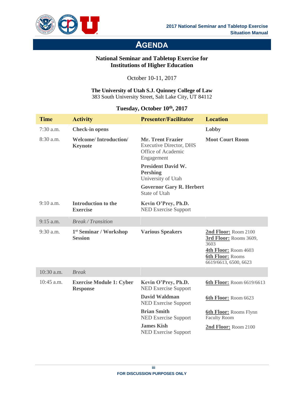

# **AGENDA**

# **National Seminar and Tabletop Exercise for Institutions of Higher Education**

October 10-11, 2017

#### **The University of Utah S.J. Quinney College of Law**  383 South University Street, Salt Lake City, UT 84112

# **Tuesday, October 10th, 2017**

| <b>Time</b> | <b>Activity</b>                                      | <b>Presenter/Facilitator</b>                                                                   | <b>Location</b>                                                                                                                    |
|-------------|------------------------------------------------------|------------------------------------------------------------------------------------------------|------------------------------------------------------------------------------------------------------------------------------------|
| 7:30 a.m.   | <b>Check-in opens</b>                                |                                                                                                | Lobby                                                                                                                              |
| 8:30 a.m.   | <b>Welcome/Introduction/</b><br><b>Keynote</b>       | <b>Mr. Trent Frazier</b><br><b>Executive Director, DHS</b><br>Office of Academic<br>Engagement | <b>Moot Court Room</b>                                                                                                             |
|             |                                                      | <b>President David W.</b><br><b>Pershing</b><br>University of Utah                             |                                                                                                                                    |
|             |                                                      | <b>Governor Gary R. Herbert</b><br>State of Utah                                               |                                                                                                                                    |
| 9:10 a.m.   | <b>Introduction to the</b><br><b>Exercise</b>        | Kevin O'Prey, Ph.D.<br><b>NED Exercise Support</b>                                             |                                                                                                                                    |
| $9:15$ a.m. | <b>Break / Transition</b>                            |                                                                                                |                                                                                                                                    |
| 9:30 a.m.   | 1 <sup>st</sup> Seminar / Workshop<br><b>Session</b> | <b>Various Speakers</b>                                                                        | 2nd Floor: Room 2100<br>3rd Floor: Rooms 3609,<br>3603<br>4th Floor: Room 4603<br><b>6th Floor: Rooms</b><br>6619/6613, 6500, 6623 |
| 10:30 a.m.  | <b>Break</b>                                         |                                                                                                |                                                                                                                                    |
| 10:45 a.m.  | <b>Exercise Module 1: Cyber</b><br><b>Response</b>   | Kevin O'Prey, Ph.D.<br><b>NED Exercise Support</b>                                             | 6th Floor: Room 6619/6613                                                                                                          |
|             |                                                      | <b>David Waldman</b><br><b>NED Exercise Support</b>                                            | 6th Floor: Room 6623                                                                                                               |
|             |                                                      | <b>Brian Smith</b><br><b>NED Exercise Support</b>                                              | <b>6th Floor:</b> Rooms Flynn<br><b>Faculty Room</b>                                                                               |
|             |                                                      | <b>James Kish</b><br><b>NED Exercise Support</b>                                               | 2nd Floor: Room 2100                                                                                                               |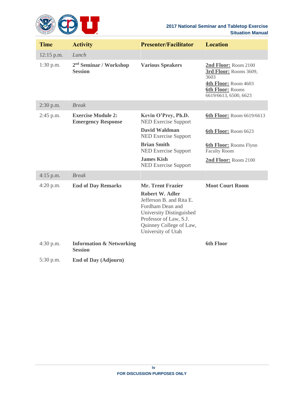

| <b>Time</b>  | <b>Activity</b>                                        | <b>Presenter/Facilitator</b>                                                                                                                                                  | <b>Location</b>                                                                                                                    |
|--------------|--------------------------------------------------------|-------------------------------------------------------------------------------------------------------------------------------------------------------------------------------|------------------------------------------------------------------------------------------------------------------------------------|
| $12:15$ p.m. | Lunch                                                  |                                                                                                                                                                               |                                                                                                                                    |
| $1:30$ p.m.  | 2 <sup>nd</sup> Seminar / Workshop<br><b>Session</b>   | <b>Various Speakers</b>                                                                                                                                                       | 2nd Floor: Room 2100<br>3rd Floor: Rooms 3609,<br>3603<br>4th Floor: Room 4603<br><b>6th Floor: Rooms</b><br>6619/6613, 6500, 6623 |
| 2:30 p.m.    | <b>Break</b>                                           |                                                                                                                                                                               |                                                                                                                                    |
| $2:45$ p.m.  | <b>Exercise Module 2:</b><br><b>Emergency Response</b> | Kevin O'Prey, Ph.D.<br><b>NED Exercise Support</b>                                                                                                                            | 6th Floor: Room 6619/6613                                                                                                          |
|              |                                                        | <b>David Waldman</b><br><b>NED Exercise Support</b>                                                                                                                           | 6th Floor: Room 6623                                                                                                               |
|              |                                                        | <b>Brian Smith</b><br><b>NED Exercise Support</b>                                                                                                                             | <b>6th Floor:</b> Rooms Flynn<br><b>Faculty Room</b>                                                                               |
|              |                                                        | <b>James Kish</b><br><b>NED Exercise Support</b>                                                                                                                              | 2nd Floor: Room 2100                                                                                                               |
| $4:15$ p.m.  | <b>Break</b>                                           |                                                                                                                                                                               |                                                                                                                                    |
| $4:20$ p.m.  | <b>End of Day Remarks</b>                              | <b>Mr. Trent Frazier</b>                                                                                                                                                      | <b>Moot Court Room</b>                                                                                                             |
|              |                                                        | <b>Robert W. Adler</b><br>Jefferson B. and Rita E.<br>Fordham Dean and<br>University Distinguished<br>Professor of Law, S.J.<br>Quinney College of Law,<br>University of Utah |                                                                                                                                    |
| 4:30 p.m.    | <b>Information &amp; Networking</b><br><b>Session</b>  |                                                                                                                                                                               | <b>6th Floor</b>                                                                                                                   |
| 5:30 p.m.    | <b>End of Day (Adjourn)</b>                            |                                                                                                                                                                               |                                                                                                                                    |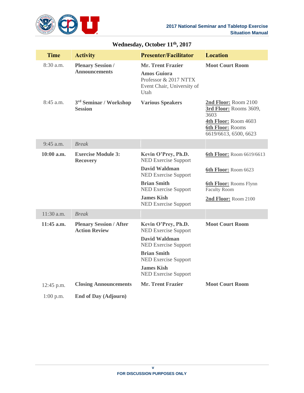

| <b>Time</b> | <b>Activity</b>                                        | <b>Presenter/Facilitator</b>                                                                                  | <b>Location</b>                                                                                                                    |
|-------------|--------------------------------------------------------|---------------------------------------------------------------------------------------------------------------|------------------------------------------------------------------------------------------------------------------------------------|
| 8:30 a.m.   | <b>Plenary Session /</b><br><b>Announcements</b>       | <b>Mr. Trent Frazier</b><br><b>Amos Guiora</b><br>Professor & 2017 NTTX<br>Event Chair, University of<br>Utah | <b>Moot Court Room</b>                                                                                                             |
| $8:45$ a.m. | 3 <sup>rd</sup> Seminar / Workshop<br><b>Session</b>   | <b>Various Speakers</b>                                                                                       | 2nd Floor: Room 2100<br>3rd Floor: Rooms 3609,<br>3603<br>4th Floor: Room 4603<br><b>6th Floor: Rooms</b><br>6619/6613, 6500, 6623 |
| 9:45 a.m.   | <b>Break</b>                                           |                                                                                                               |                                                                                                                                    |
| 10:00 a.m.  | <b>Exercise Module 3:</b><br><b>Recovery</b>           | Kevin O'Prey, Ph.D.<br><b>NED Exercise Support</b>                                                            | 6th Floor: Room 6619/6613                                                                                                          |
|             |                                                        | <b>David Waldman</b><br><b>NED Exercise Support</b>                                                           | 6th Floor: Room 6623                                                                                                               |
|             |                                                        | <b>Brian Smith</b><br><b>NED Exercise Support</b>                                                             | <b>6th Floor:</b> Rooms Flynn<br><b>Faculty Room</b>                                                                               |
|             |                                                        | <b>James Kish</b><br><b>NED Exercise Support</b>                                                              | 2nd Floor: Room 2100                                                                                                               |
| 11:30 a.m.  | <b>Break</b>                                           |                                                                                                               |                                                                                                                                    |
| 11:45 a.m.  | <b>Plenary Session / After</b><br><b>Action Review</b> | Kevin O'Prey, Ph.D.<br><b>NED Exercise Support</b>                                                            | <b>Moot Court Room</b>                                                                                                             |
|             |                                                        | <b>David Waldman</b><br><b>NED Exercise Support</b>                                                           |                                                                                                                                    |
|             |                                                        | <b>Brian Smith</b><br><b>NED Exercise Support</b>                                                             |                                                                                                                                    |
|             |                                                        | <b>James Kish</b><br><b>NED Exercise Support</b>                                                              |                                                                                                                                    |
| 12:45 p.m.  | <b>Closing Announcements</b>                           | <b>Mr. Trent Frazier</b>                                                                                      | <b>Moot Court Room</b>                                                                                                             |
| $1:00$ p.m. | <b>End of Day (Adjourn)</b>                            |                                                                                                               |                                                                                                                                    |

# **Wednesday, October 11th, 2017**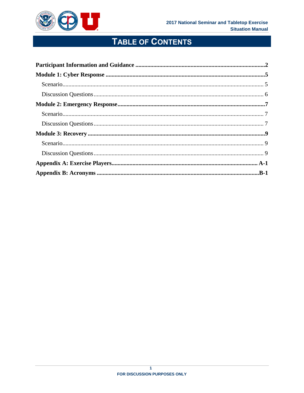

# TABLE OF CONTENTS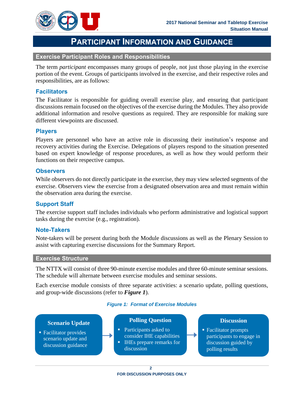



# **PARTICIPANT INFORMATION AND GUIDANCE**

#### <span id="page-7-0"></span>**Exercise Participant Roles and Responsibilities**

The term *participant* encompasses many groups of people, not just those playing in the exercise portion of the event. Groups of participants involved in the exercise, and their respective roles and responsibilities, are as follows:

### **Facilitators**

The Facilitator is responsible for guiding overall exercise play, and ensuring that participant discussions remain focused on the objectives of the exercise during the Modules. They also provide additional information and resolve questions as required. They are responsible for making sure different viewpoints are discussed.

#### **Players**

Players are personnel who have an active role in discussing their institution's response and recovery activities during the Exercise. Delegations of players respond to the situation presented based on expert knowledge of response procedures, as well as how they would perform their functions on their respective campus.

#### **Observers**

While observers do not directly participate in the exercise, they may view selected segments of the exercise. Observers view the exercise from a designated observation area and must remain within the observation area during the exercise.

#### **Support Staff**

The exercise support staff includes individuals who perform administrative and logistical support tasks during the exercise (e.g., registration).

#### **Note-Takers**

Note-takers will be present during both the Module discussions as well as the Plenary Session to assist with capturing exercise discussions for the Summary Report.

#### **Exercise Structure**

The NTTX will consist of three 90-minute exercise modules and three 60-minute seminar sessions. The schedule will alternate between exercise modules and seminar sessions.

Each exercise module consists of three separate activities: a scenario update, polling questions, and group-wide discussions (refer to *Figure 1*).

#### *Figure 1: Format of Exercise Modules*

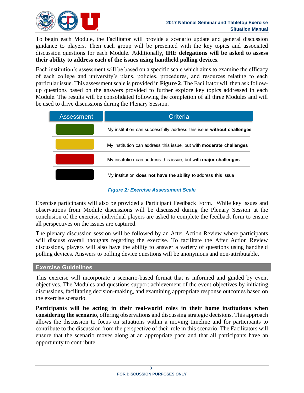

To begin each Module, the Facilitator will provide a scenario update and general discussion guidance to players. Then each group will be presented with the key topics and associated discussion questions for each Module. Additionally, **IHE delegations will be asked to assess their ability to address each of the issues using handheld polling devices.**

Each institution's assessment will be based on a specific scale which aims to examine the efficacy of each college and university's plans, policies, procedures, and resources relating to each particular issue. This assessment scale is provided in **Figure 2**. The Facilitator will then ask followup questions based on the answers provided to further explore key topics addressed in each Module. The results will be consolidated following the completion of all three Modules and will be used to drive discussions during the Plenary Session.

| <b>Assessment</b> | Criteria                                                                   |
|-------------------|----------------------------------------------------------------------------|
|                   | My institution can successfully address this issue without challenges      |
|                   | My institution can address this issue, but with <b>moderate challenges</b> |
|                   | My institution can address this issue, but with <b>major challenges</b>    |
|                   | My institution <b>does not have the ability</b> to address this issue      |

#### *Figure 2: Exercise Assessment Scale*

Exercise participants will also be provided a Participant Feedback Form. While key issues and observations from Module discussions will be discussed during the Plenary Session at the conclusion of the exercise, individual players are asked to complete the feedback form to ensure all perspectives on the issues are captured.

The plenary discussion session will be followed by an After Action Review where participants will discuss overall thoughts regarding the exercise. To facilitate the After Action Review discussions, players will also have the ability to answer a variety of questions using handheld polling devices. Answers to polling device questions will be anonymous and non-attributable.

#### **Exercise Guidelines**

This exercise will incorporate a scenario-based format that is informed and guided by event objectives. The Modules and questions support achievement of the event objectives by initiating discussions, facilitating decision-making, and examining appropriate response outcomes based on the exercise scenario.

**Participants will be acting in their real-world roles in their home institutions when considering the scenario**, offering observations and discussing strategic decisions. This approach allows the discussion to focus on situations within a moving timeline and for participants to contribute to the discussion from the perspective of their role in this scenario. The Facilitators will ensure that the scenario moves along at an appropriate pace and that all participants have an opportunity to contribute.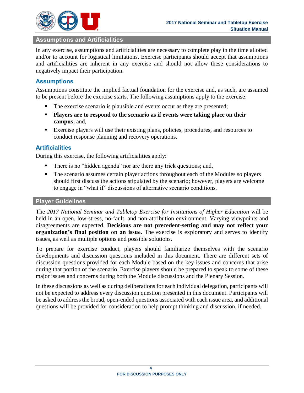

#### **Assumptions and Artificialities**

In any exercise, assumptions and artificialities are necessary to complete play in the time allotted and/or to account for logistical limitations. Exercise participants should accept that assumptions and artificialities are inherent in any exercise and should not allow these considerations to negatively impact their participation.

### **Assumptions**

Assumptions constitute the implied factual foundation for the exercise and, as such, are assumed to be present before the exercise starts. The following assumptions apply to the exercise:

- The exercise scenario is plausible and events occur as they are presented;
- **Players are to respond to the scenario as if events were taking place on their campus**; and,
- Exercise players will use their existing plans, policies, procedures, and resources to conduct response planning and recovery operations.

#### **Artificialities**

During this exercise, the following artificialities apply:

- There is no "hidden agenda" nor are there any trick questions; and,
- The scenario assumes certain player actions throughout each of the Modules so players should first discuss the actions stipulated by the scenario; however, players are welcome to engage in "what if" discussions of alternative scenario conditions.

#### **Player Guidelines**

The *2017 National Seminar and Tabletop Exercise for Institutions of Higher Education* will be held in an open, low-stress, no-fault, and non-attribution environment. Varying viewpoints and disagreements are expected. **Decisions are not precedent-setting and may not reflect your organization's final position on an issue.** The exercise is exploratory and serves to identify issues, as well as multiple options and possible solutions.

To prepare for exercise conduct, players should familiarize themselves with the scenario developments and discussion questions included in this document. There are different sets of discussion questions provided for each Module based on the key issues and concerns that arise during that portion of the scenario. Exercise players should be prepared to speak to some of these major issues and concerns during both the Module discussions and the Plenary Session.

In these discussions as well as during deliberations for each individual delegation, participants will not be expected to address every discussion question presented in this document. Participants will be asked to address the broad, open-ended questions associated with each issue area, and additional questions will be provided for consideration to help prompt thinking and discussion, if needed.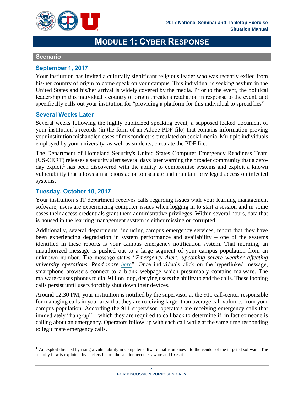

# **MODULE 1: CYBER RESPONSE**

#### <span id="page-10-1"></span><span id="page-10-0"></span>**Scenario**

#### **September 1, 2017**

Your institution has invited a culturally significant religious leader who was recently exiled from his/her country of origin to come speak on your campus. This individual is seeking asylum in the United States and his/her arrival is widely covered by the media. Prior to the event, the political leadership in this individual's country of origin threatens retaliation in response to the event, and specifically calls out your institution for "providing a platform for this individual to spread lies".

## **Several Weeks Later**

Several weeks following the highly publicized speaking event, a supposed leaked document of your institution's records (in the form of an Adobe PDF file) that contains information proving your institution mishandled cases of misconduct is circulated on social media. Multiple individuals employed by your university, as well as students, circulate the PDF file.

The Department of Homeland Security's United States Computer Emergency Readiness Team (US-CERT) releases a security alert several days later warning the broader community that a zeroday exploit<sup>1</sup> has been discovered with the ability to compromise systems and exploit a known vulnerability that allows a malicious actor to escalate and maintain privileged access on infected systems.

#### **Tuesday, October 10, 2017**

 $\overline{a}$ 

Your institution's IT department receives calls regarding issues with your learning management software; users are experiencing computer issues when logging in to start a session and in some cases their access credentials grant them administrative privileges. Within several hours, data that is housed in the learning management system is either missing or corrupted.

Additionally, several departments, including campus emergency services, report that they have been experiencing degradation in system performance and availability – one of the systems identified in these reports is your campus emergency notification system. That morning, an unauthorized message is pushed out to a large segment of your campus population from an unknown number. The message states "*Emergency Alert: upcoming severe weather affecting university operations. Read more here*". Once individuals click on the hyperlinked message, smartphone browsers connect to a blank webpage which presumably contains malware. The malware causes phones to dial 911 on loop, denying users the ability to end the calls. These looping calls persist until users forcibly shut down their devices.

Around 12:30 PM, your institution is notified by the supervisor at the 911 call-center responsible for managing calls in your area that they are receiving larger than average call volumes from your campus population. According the 911 supervisor, operators are receiving emergency calls that immediately "hang-up" – which they are required to call back to determine if, in fact someone is calling about an emergency. Operators follow up with each call while at the same time responding to legitimate emergency calls.

 $<sup>1</sup>$  An exploit directed by using a vulnerability in computer software that is unknown to the vendor of the targeted software. The</sup> security flaw is exploited by hackers before the vendor becomes aware and fixes it.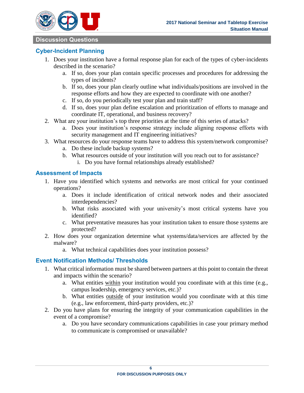

### <span id="page-11-0"></span>**Discussion Questions**

# **Cyber-Incident Planning**

- 1. Does your institution have a formal response plan for each of the types of cyber-incidents described in the scenario?
	- a. If so, does your plan contain specific processes and procedures for addressing the types of incidents?
	- b. If so, does your plan clearly outline what individuals/positions are involved in the response efforts and how they are expected to coordinate with one another?
	- c. If so, do you periodically test your plan and train staff?
	- d. If so, does your plan define escalation and prioritization of efforts to manage and coordinate IT, operational, and business recovery?
- 2. What are your institution's top three priorities at the time of this series of attacks?
	- a. Does your institution's response strategy include aligning response efforts with security management and IT engineering initiatives?
- 3. What resources do your response teams have to address this system/network compromise?
	- a. Do these include backup systems?
	- b. What resources outside of your institution will you reach out to for assistance?
		- i. Do you have formal relationships already established?

## **Assessment of Impacts**

- 1. Have you identified which systems and networks are most critical for your continued operations?
	- a. Does it include identification of critical network nodes and their associated interdependencies?
	- b. What risks associated with your university's most critical systems have you identified?
	- c. What preventative measures has your institution taken to ensure those systems are protected?
- 2. How does your organization determine what systems/data/services are affected by the malware?
	- a. What technical capabilities does your institution possess?

## **Event Notification Methods/ Thresholds**

- 1. What critical information must be shared between partners at this point to contain the threat and impacts within the scenario?
	- a. What entities within your institution would you coordinate with at this time (e.g., campus leadership, emergency services, etc.)?
	- b. What entities outside of your institution would you coordinate with at this time (e.g., law enforcement, third-party providers, etc.)?
- 2. Do you have plans for ensuring the integrity of your communication capabilities in the event of a compromise?
	- a. Do you have secondary communications capabilities in case your primary method to communicate is compromised or unavailable?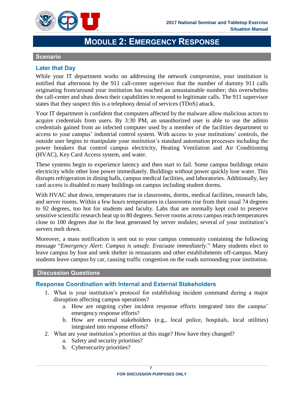

# **MODULE 2: EMERGENCY RESPONSE**

#### <span id="page-12-1"></span><span id="page-12-0"></span>**Scenario**

# **Later that Day**

While your IT department works on addressing the network compromise, your institution is notified that afternoon by the 911 call-center supervisor that the number of dummy 911 calls originating from/around your institution has reached an unsustainable number; this overwhelms the call-center and shuts down their capabilities to respond to legitimate calls. The 911 supervisor states that they suspect this is a telephony denial of services (TDoS) attack.

Your IT department is confident that computers affected by the malware allow malicious actors to acquire credentials from users. By 3:30 PM, an unauthorized user is able to use the admin credentials gained from an infected computer used by a member of the facilities department to access to your campus' industrial control system. With access to your institutions' controls, the outside user begins to manipulate your institution's standard automation processes including the power breakers that control campus electricity, Heating Ventilation and Air Conditioning (HVAC), Key Card Access system, and water.

These systems begin to experience latency and then start to fail. Some campus buildings retain electricity while other lose power immediately. Buildings without power quickly lose water. This disrupts refrigeration in dining halls, campus medical facilities, and laboratories. Additionally, key card access is disabled to many buildings on campus including student dorms.

With HVAC shut down, temperatures rise in classrooms, dorms, medical facilities, research labs, and server rooms. Within a few hours temperatures in classrooms rise from their usual 74 degrees to 92 degrees, too hot for students and faculty. Labs that are normally kept cool to preserve sensitive scientific research heat up to 80 degrees. Server rooms across campus reach temperatures close to 100 degrees due to the heat generated by server nodules; several of your institution's servers melt down.

Moreover, a mass notification is sent out to your campus community containing the following message "*Emergency Alert: Campus is unsafe. Evacuate immediately.*" Many students elect to leave campus by foot and seek shelter in restaurants and other establishments off-campus. Many students leave campus by car, causing traffic congestion on the roads surrounding your institution.

#### <span id="page-12-2"></span>**Discussion Questions**

## **Response Coordination with Internal and External Stakeholders**

- 1. What is your institution's protocol for establishing incident command during a major disruption affecting campus operations?
	- a. How are ongoing cyber incident response efforts integrated into the campus' emergency response efforts?
	- b. How are external stakeholders (e.g., local police, hospitals, local utilities) integrated into response efforts?
- 2. What are your institution's priorities at this stage? How have they changed?
	- a. Safety and security priorities?
	- b. Cybersecurity priorities?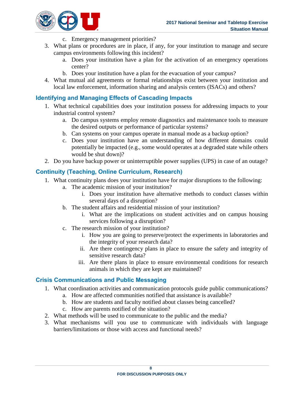

- c. Emergency management priorities?
- 3. What plans or procedures are in place, if any, for your institution to manage and secure campus environments following this incident?
	- a. Does your institution have a plan for the activation of an emergency operations center?
	- b. Does your institution have a plan for the evacuation of your campus?
- 4. What mutual aid agreements or formal relationships exist between your institution and local law enforcement, information sharing and analysis centers (ISACs) and others?

# **Identifying and Managing Effects of Cascading Impacts**

- 1. What technical capabilities does your institution possess for addressing impacts to your industrial control system?
	- a. Do campus systems employ remote diagnostics and maintenance tools to measure the desired outputs or performance of particular systems?
	- b. Can systems on your campus operate in manual mode as a backup option?
	- c. Does your institution have an understanding of how different domains could potentially be impacted (e.g., some would operates at a degraded state while others would be shut down)?
- 2. Do you have backup power or uninterruptible power supplies (UPS) in case of an outage?

# **Continuity (Teaching, Online Curriculum, Research)**

- 1. What continuity plans does your institution have for major disruptions to the following:
	- a. The academic mission of your institution?
		- i. Does your institution have alternative methods to conduct classes within several days of a disruption?
	- b. The student affairs and residential mission of your institution?
		- i. What are the implications on student activities and on campus housing services following a disruption?
	- c. The research mission of your institution?
		- i. How you are going to preserve/protect the experiments in laboratories and the integrity of your research data?
		- ii. Are there contingency plans in place to ensure the safety and integrity of sensitive research data?
		- iii. Are there plans in place to ensure environmental conditions for research animals in which they are kept are maintained?

## **Crisis Communications and Public Messaging**

- 1. What coordination activities and communication protocols guide public communications?
	- a. How are affected communities notified that assistance is available?
	- b. How are students and faculty notified about classes being cancelled?
	- c. How are parents notified of the situation?
- 2. What methods will be used to communicate to the public and the media?
- 3. What mechanisms will you use to communicate with individuals with language barriers/limitations or those with access and functional needs?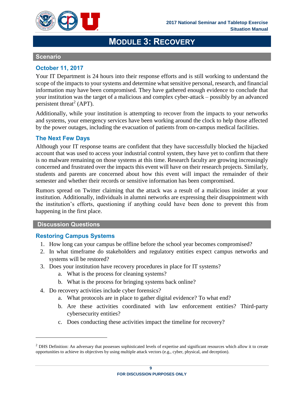

# **MODULE 3: RECOVERY**

#### <span id="page-14-1"></span><span id="page-14-0"></span>**Scenario**

# **October 11, 2017**

Your IT Department is 24 hours into their response efforts and is still working to understand the scope of the impacts to your systems and determine what sensitive personal, research, and financial information may have been compromised. They have gathered enough evidence to conclude that your institution was the target of a malicious and complex cyber-attack – possibly by an advanced persistent threat<sup>2</sup> (APT).

Additionally, while your institution is attempting to recover from the impacts to your networks and systems, your emergency services have been working around the clock to help those affected by the power outages, including the evacuation of patients from on-campus medical facilities.

## **The Next Few Days**

Although your IT response teams are confident that they have successfully blocked the hijacked account that was used to access your industrial control system, they have yet to confirm that there is no malware remaining on those systems at this time. Research faculty are growing increasingly concerned and frustrated over the impacts this event will have on their research projects. Similarly, students and parents are concerned about how this event will impact the remainder of their semester and whether their records or sensitive information has been compromised.

Rumors spread on Twitter claiming that the attack was a result of a malicious insider at your institution. Additionally, individuals in alumni networks are expressing their disappointment with the institution's efforts, questioning if anything could have been done to prevent this from happening in the first place.

#### <span id="page-14-2"></span>**Discussion Questions**

 $\overline{a}$ 

#### **Restoring Campus Systems**

- 1. How long can your campus be offline before the school year becomes compromised?
- 2. In what timeframe do stakeholders and regulatory entities expect campus networks and systems will be restored?
- 3. Does your institution have recovery procedures in place for IT systems?
	- a. What is the process for cleaning systems?
	- b. What is the process for bringing systems back online?
- 4. Do recovery activities include cyber forensics?
	- a. What protocols are in place to gather digital evidence? To what end?
	- b. Are these activities coordinated with law enforcement entities? Third-party cybersecurity entities?
	- c. Does conducting these activities impact the timeline for recovery?

<sup>&</sup>lt;sup>2</sup> DHS Definition: An adversary that possesses sophisticated levels of expertise and significant resources which allow it to create opportunities to achieve its objectives by using multiple attack vectors (e.g., cyber, physical, and deception).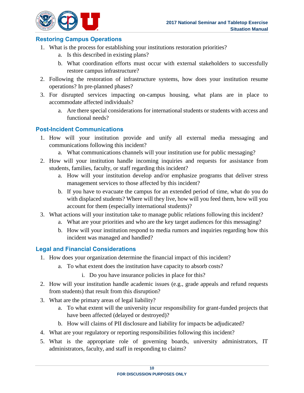

# **Restoring Campus Operations**

- 1. What is the process for establishing your institutions restoration priorities?
	- a. Is this described in existing plans?
	- b. What coordination efforts must occur with external stakeholders to successfully restore campus infrastructure?
- 2. Following the restoration of infrastructure systems, how does your institution resume operations? In pre-planned phases?
- 3. For disrupted services impacting on-campus housing, what plans are in place to accommodate affected individuals?
	- a. Are there special considerations for international students or students with access and functional needs?

# **Post-Incident Communications**

- 1. How will your institution provide and unify all external media messaging and communications following this incident?
	- a. What communications channels will your institution use for public messaging?
- 2. How will your institution handle incoming inquiries and requests for assistance from students, families, faculty, or staff regarding this incident?
	- a. How will your institution develop and/or emphasize programs that deliver stress management services to those affected by this incident?
	- b. If you have to evacuate the campus for an extended period of time, what do you do with displaced students? Where will they live, how will you feed them, how will you account for them (especially international students)?
- 3. What actions will your institution take to manage public relations following this incident?
	- a. What are your priorities and who are the key target audiences for this messaging?
	- b. How will your institution respond to media rumors and inquiries regarding how this incident was managed and handled?

## **Legal and Financial Considerations**

- 1. How does your organization determine the financial impact of this incident?
	- a. To what extent does the institution have capacity to absorb costs?
		- i. Do you have insurance policies in place for this?
- 2. How will your institution handle academic issues (e.g., grade appeals and refund requests from students) that result from this disruption?
- 3. What are the primary areas of legal liability?
	- a. To what extent will the university incur responsibility for grant-funded projects that have been affected (delayed or destroyed)?
	- b. How will claims of PII disclosure and liability for impacts be adjudicated?
- 4. What are your regulatory or reporting responsibilities following this incident?
- 5. What is the appropriate role of governing boards, university administrators, IT administrators, faculty, and staff in responding to claims?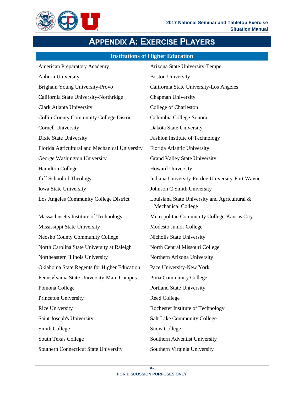

# **APPENDIX A: EXERCISE PLAYERS**

# **Institutions of Higher Education**

<span id="page-16-0"></span>

| <b>American Preparatory Academy</b>             | Arizona State University-Tempe                                             |
|-------------------------------------------------|----------------------------------------------------------------------------|
| <b>Auburn University</b>                        | <b>Boston University</b>                                                   |
| Brigham Young University-Provo                  | California State University-Los Angeles                                    |
| California State University-Northridge          | <b>Chapman University</b>                                                  |
| Clark Atlanta University                        | College of Charleston                                                      |
| <b>Collin County Community College District</b> | Columbia College-Sonora                                                    |
| <b>Cornell University</b>                       | Dakota State University                                                    |
| Dixie State University                          | Fashion Institute of Technology                                            |
| Florida Agricultural and Mechanical University  | Florida Atlantic University                                                |
| George Washington University                    | <b>Grand Valley State University</b>                                       |
| <b>Hamilton College</b>                         | <b>Howard University</b>                                                   |
| <b>Iliff School of Theology</b>                 | Indiana University-Purdue University-Fort Wayne                            |
| Iowa State University                           | Johnson C Smith University                                                 |
| Los Angeles Community College District          | Louisiana State University and Agricultural &<br><b>Mechanical College</b> |
| Massachusetts Institute of Technology           | Metropolitan Community College-Kansas City                                 |
| Mississippi State University                    | Modesto Junior College                                                     |
| <b>Neosho County Community College</b>          | Nicholls State University                                                  |
| North Carolina State University at Raleigh      | North Central Missouri College                                             |
| Northeastern Illinois University                | Northern Arizona University                                                |
| Oklahoma State Regents for Higher Education     | Pace University-New York                                                   |
| Pennsylvania State University-Main Campus       | Pima Community College                                                     |
| Pomona College                                  | Portland State University                                                  |
| Princeton University                            | <b>Reed College</b>                                                        |
| <b>Rice University</b>                          | Rochester Institute of Technology                                          |
| Saint Joseph's University                       | Salt Lake Community College                                                |
| Smith College                                   | Snow College                                                               |
| <b>South Texas College</b>                      | Southern Adventist University                                              |
| Southern Connecticut State University           | Southern Virginia University                                               |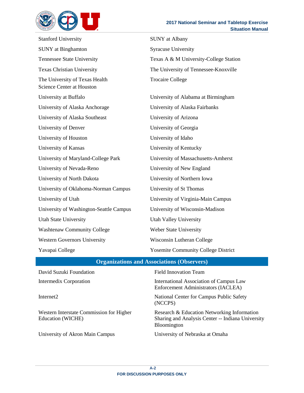



| <b>Stanford University</b>                                         | <b>SUNY</b> at Albany                      |
|--------------------------------------------------------------------|--------------------------------------------|
| <b>SUNY</b> at Binghamton                                          | <b>Syracuse University</b>                 |
| <b>Tennessee State University</b>                                  | Texas A & M University-College Station     |
| <b>Texas Christian University</b>                                  | The University of Tennessee-Knoxville      |
| The University of Texas Health<br><b>Science Center at Houston</b> | <b>Trocaire College</b>                    |
| University at Buffalo                                              | University of Alabama at Birmingham        |
| University of Alaska Anchorage                                     | University of Alaska Fairbanks             |
| University of Alaska Southeast                                     | University of Arizona                      |
| University of Denver                                               | University of Georgia                      |
| University of Houston                                              | University of Idaho                        |
| University of Kansas                                               | University of Kentucky                     |
| University of Maryland-College Park                                | University of Massachusetts-Amherst        |
| University of Nevada-Reno                                          | University of New England                  |
| University of North Dakota                                         | University of Northern Iowa                |
| University of Oklahoma-Norman Campus                               | University of St Thomas                    |
| University of Utah                                                 | University of Virginia-Main Campus         |
| University of Washington-Seattle Campus                            | University of Wisconsin-Madison            |
| <b>Utah State University</b>                                       | <b>Utah Valley University</b>              |
| <b>Washtenaw Community College</b>                                 | Weber State University                     |
| <b>Western Governors University</b>                                | Wisconsin Lutheran College                 |
| Yavapai College                                                    | <b>Yosemite Community College District</b> |

# **Organizations and Associations (Observers)**

| David Suzuki Foundation                                       | Field Innovation Team                                                                                           |
|---------------------------------------------------------------|-----------------------------------------------------------------------------------------------------------------|
| Intermedix Corporation                                        | International Association of Campus Law<br>Enforcement Administrators (IACLEA)                                  |
| Internet <sub>2</sub>                                         | National Center for Campus Public Safety<br>(NCCPS)                                                             |
| Western Interstate Commission for Higher<br>Education (WICHE) | Research & Education Networking Information<br>Sharing and Analysis Center -- Indiana University<br>Bloomington |
| University of Akron Main Campus                               | University of Nebraska at Omaha                                                                                 |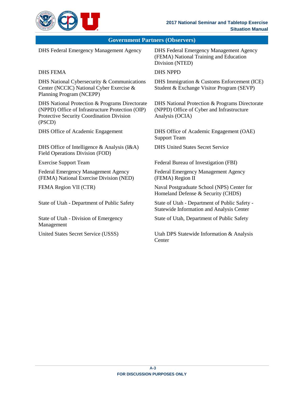

#### **Government Partners (Observers)**

DHS Federal Emergency Management Agency DHS Federal Emergency Management Agency

#### DHS FEMA DHS NPPD

DHS National Cybersecurity & Communications Center (NCCIC) National Cyber Exercise & Planning Program (NCEPP)

DHS National Protection & Programs Directorate (NPPD) Office of Infrastructure Protection (OIP) Protective Security Coordination Division (PSCD)

DHS Office of Intelligence & Analysis (I&A) Field Operations Division (FOD)

Federal Emergency Management Agency (FEMA) National Exercise Division (NED)

State of Utah - Division of Emergency Management

(FEMA) National Training and Education Division (NTED)

DHS Immigration & Customs Enforcement (ICE) Student & Exchange Visitor Program (SEVP)

DHS National Protection & Programs Directorate (NPPD) Office of Cyber and Infrastructure Analysis (OCIA)

DHS Office of Academic Engagement DHS Office of Academic Engagement (OAE) Support Team

DHS United States Secret Service

Exercise Support Team Federal Bureau of Investigation (FBI)

Federal Emergency Management Agency (FEMA) Region II

FEMA Region VII (CTR) Naval Postgraduate School (NPS) Center for Homeland Defense & Security (CHDS)

State of Utah - Department of Public Safety State of Utah - Department of Public Safety -Statewide Information and Analysis Center

State of Utah, Department of Public Safety

United States Secret Service (USSS) Utah DPS Statewide Information & Analysis **Center**